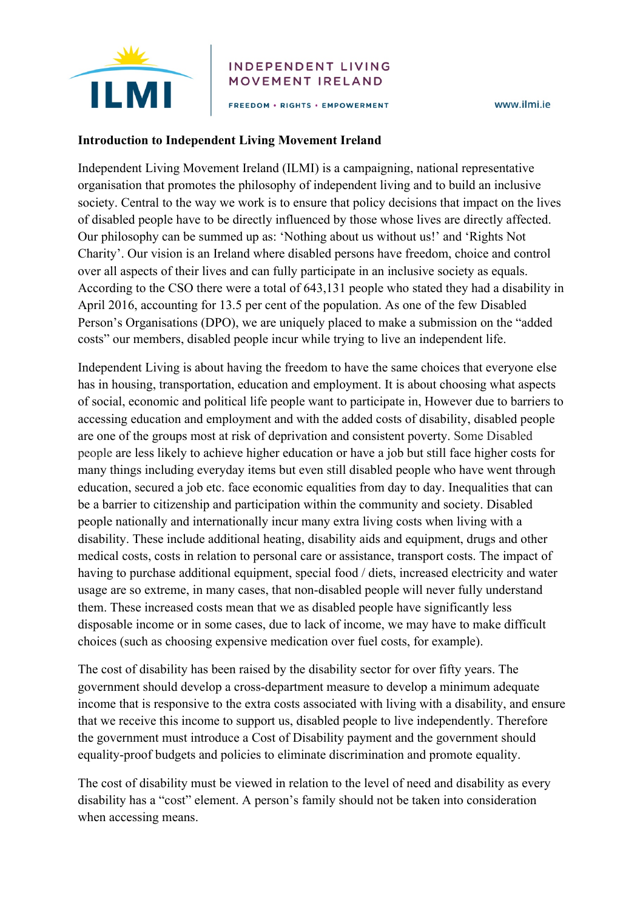

## **INDEPENDENT LIVING** MOVEMENT IRELAND

FREEDOM . RIGHTS . EMPOWERMENT

www.ilmi.ie

## **Introduction to Independent Living Movement Ireland**

Independent Living Movement Ireland (ILMI) is a campaigning, national representative organisation that promotes the philosophy of independent living and to build an inclusive society. Central to the way we work is to ensure that policy decisions that impact on the lives of disabled people have to be directly influenced by those whose lives are directly affected. Our philosophy can be summed up as: 'Nothing about us without us!' and 'Rights Not Charity'. Our vision is an Ireland where disabled persons have freedom, choice and control over all aspects of their lives and can fully participate in an inclusive society as equals. According to the CSO there were a total of 643,131 people who stated they had a disability in April 2016, accounting for 13.5 per cent of the population. As one of the few Disabled Person's Organisations (DPO), we are uniquely placed to make a submission on the "added costs" our members, disabled people incur while trying to live an independent life.

Independent Living is about having the freedom to have the same choices that everyone else has in housing, transportation, education and employment. It is about choosing what aspects of social, economic and political life people want to participate in, However due to barriers to accessing education and employment and with the added costs of disability, disabled people are one of the groups most at risk of deprivation and consistent poverty. Some Disabled people are less likely to achieve higher education or have a job but still face higher costs for many things including everyday items but even still disabled people who have went through education, secured a job etc. face economic equalities from day to day. Inequalities that can be a barrier to citizenship and participation within the community and society. Disabled people nationally and internationally incur many extra living costs when living with a disability. These include additional heating, disability aids and equipment, drugs and other medical costs, costs in relation to personal care or assistance, transport costs. The impact of having to purchase additional equipment, special food / diets, increased electricity and water usage are so extreme, in many cases, that non-disabled people will never fully understand them. These increased costs mean that we as disabled people have significantly less disposable income or in some cases, due to lack of income, we may have to make difficult choices (such as choosing expensive medication over fuel costs, for example).

The cost of disability has been raised by the disability sector for over fifty years. The government should develop a cross-department measure to develop a minimum adequate income that is responsive to the extra costs associated with living with a disability, and ensure that we receive this income to support us, disabled people to live independently. Therefore the government must introduce a Cost of Disability payment and the government should equality-proof budgets and policies to eliminate discrimination and promote equality.

The cost of disability must be viewed in relation to the level of need and disability as every disability has a "cost" element. A person's family should not be taken into consideration when accessing means.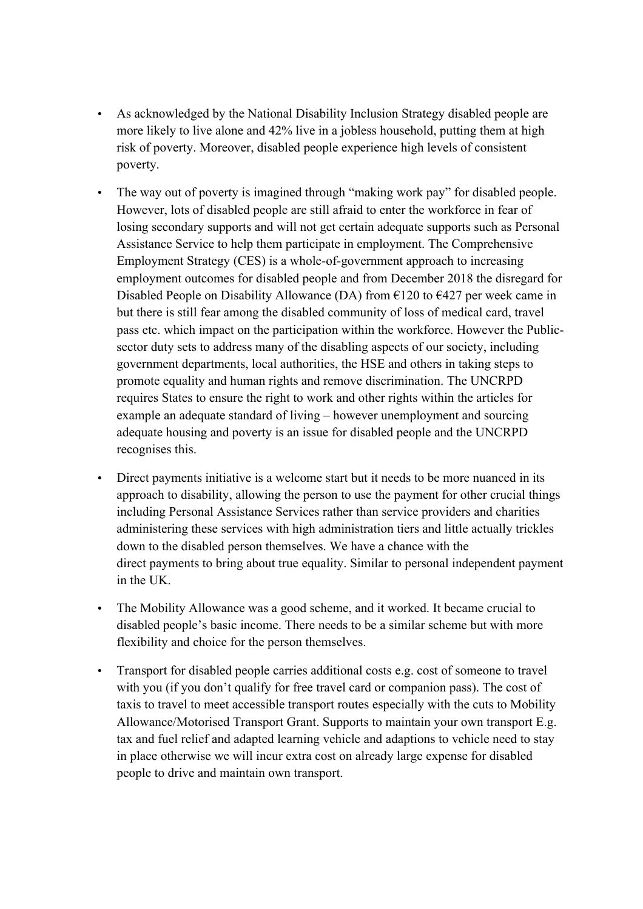- As acknowledged by the National Disability Inclusion Strategy disabled people are more likely to live alone and 42% live in a jobless household, putting them at high risk of poverty. Moreover, disabled people experience high levels of consistent poverty.
- The way out of poverty is imagined through "making work pay" for disabled people. However, lots of disabled people are still afraid to enter the workforce in fear of losing secondary supports and will not get certain adequate supports such as Personal Assistance Service to help them participate in employment. The Comprehensive Employment Strategy (CES) is a whole-of-government approach to increasing employment outcomes for disabled people and from December 2018 the disregard for Disabled People on Disability Allowance (DA) from  $\epsilon$ 120 to  $\epsilon$ 427 per week came in but there is still fear among the disabled community of loss of medical card, travel pass etc. which impact on the participation within the workforce. However the Publicsector duty sets to address many of the disabling aspects of our society, including government departments, local authorities, the HSE and others in taking steps to promote equality and human rights and remove discrimination. The UNCRPD requires States to ensure the right to work and other rights within the articles for example an adequate standard of living – however unemployment and sourcing adequate housing and poverty is an issue for disabled people and the UNCRPD recognises this.
- Direct payments initiative is a welcome start but it needs to be more nuanced in its approach to disability, allowing the person to use the payment for other crucial things including Personal Assistance Services rather than service providers and charities administering these services with high administration tiers and little actually trickles down to the disabled person themselves. We have a chance with the direct payments to bring about true equality. Similar to personal independent payment in the UK.
- The Mobility Allowance was a good scheme, and it worked. It became crucial to disabled people's basic income. There needs to be a similar scheme but with more flexibility and choice for the person themselves.
- Transport for disabled people carries additional costs e.g. cost of someone to travel with you (if you don't qualify for free travel card or companion pass). The cost of taxis to travel to meet accessible transport routes especially with the cuts to Mobility Allowance/Motorised Transport Grant. Supports to maintain your own transport E.g. tax and fuel relief and adapted learning vehicle and adaptions to vehicle need to stay in place otherwise we will incur extra cost on already large expense for disabled people to drive and maintain own transport.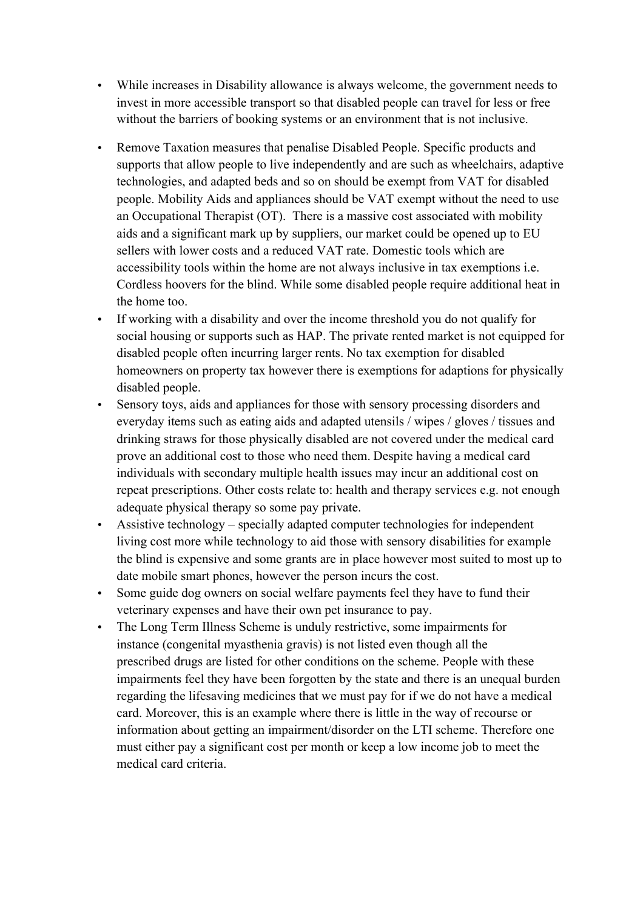- While increases in Disability allowance is always welcome, the government needs to invest in more accessible transport so that disabled people can travel for less or free without the barriers of booking systems or an environment that is not inclusive.
- Remove Taxation measures that penalise Disabled People. Specific products and supports that allow people to live independently and are such as wheelchairs, adaptive technologies, and adapted beds and so on should be exempt from VAT for disabled people. Mobility Aids and appliances should be VAT exempt without the need to use an Occupational Therapist (OT). There is a massive cost associated with mobility aids and a significant mark up by suppliers, our market could be opened up to EU sellers with lower costs and a reduced VAT rate. Domestic tools which are accessibility tools within the home are not always inclusive in tax exemptions i.e. Cordless hoovers for the blind. While some disabled people require additional heat in the home too.
- If working with a disability and over the income threshold you do not qualify for social housing or supports such as HAP. The private rented market is not equipped for disabled people often incurring larger rents. No tax exemption for disabled homeowners on property tax however there is exemptions for adaptions for physically disabled people.
- Sensory toys, aids and appliances for those with sensory processing disorders and everyday items such as eating aids and adapted utensils / wipes / gloves / tissues and drinking straws for those physically disabled are not covered under the medical card prove an additional cost to those who need them. Despite having a medical card individuals with secondary multiple health issues may incur an additional cost on repeat prescriptions. Other costs relate to: health and therapy services e.g. not enough adequate physical therapy so some pay private.
- Assistive technology specially adapted computer technologies for independent living cost more while technology to aid those with sensory disabilities for example the blind is expensive and some grants are in place however most suited to most up to date mobile smart phones, however the person incurs the cost.
- Some guide dog owners on social welfare payments feel they have to fund their veterinary expenses and have their own pet insurance to pay.
- The Long Term Illness Scheme is unduly restrictive, some impairments for instance (congenital myasthenia gravis) is not listed even though all the prescribed drugs are listed for other conditions on the scheme. People with these impairments feel they have been forgotten by the state and there is an unequal burden regarding the lifesaving medicines that we must pay for if we do not have a medical card. Moreover, this is an example where there is little in the way of recourse or information about getting an impairment/disorder on the LTI scheme. Therefore one must either pay a significant cost per month or keep a low income job to meet the medical card criteria.